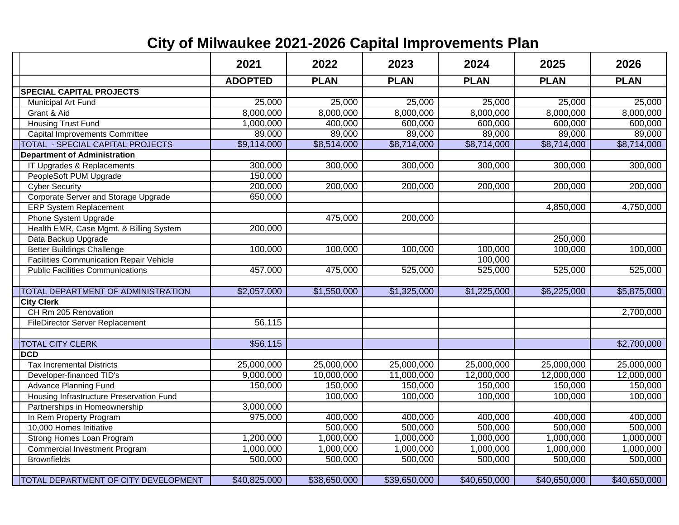## **City of Milwaukee 2021-2026 Capital Improvements Plan**

|                                                | 2021           | 2022                   | 2023         | 2024         | 2025                    | 2026         |
|------------------------------------------------|----------------|------------------------|--------------|--------------|-------------------------|--------------|
|                                                | <b>ADOPTED</b> | <b>PLAN</b>            | <b>PLAN</b>  | <b>PLAN</b>  | <b>PLAN</b>             | <b>PLAN</b>  |
| <b>SPECIAL CAPITAL PROJECTS</b>                |                |                        |              |              |                         |              |
| Municipal Art Fund                             | 25,000         | 25,000                 | 25,000       | 25,000       | 25,000                  | 25,000       |
| Grant & Aid                                    | 8,000,000      | 8,000,000              | 8,000,000    | 8,000,000    | 8,000,000               | 8,000,000    |
| <b>Housing Trust Fund</b>                      | 1,000,000      | 400,000                | 600,000      | 600,000      | 600,000                 | 600,000      |
| <b>Capital Improvements Committee</b>          | 89,000         | 89,000                 | 89,000       | 89,000       | 89,000                  | 89,000       |
| TOTAL - SPECIAL CAPITAL PROJECTS               | \$9,114,000    | \$8,514,000            | \$8,714,000  | \$8,714,000  | \$8,714,000             | \$8,714,000  |
| <b>Department of Administration</b>            |                |                        |              |              |                         |              |
| IT Upgrades & Replacements                     | 300,000        | 300,000                | 300,000      | 300,000      | 300,000                 | 300,000      |
| PeopleSoft PUM Upgrade                         | 150,000        |                        |              |              |                         |              |
| <b>Cyber Security</b>                          | 200,000        | 200,000                | 200,000      | 200,000      | 200,000                 | 200,000      |
| Corporate Server and Storage Upgrade           | 650,000        |                        |              |              |                         |              |
| <b>ERP System Replacement</b>                  |                |                        |              |              | 4,850,000               | 4,750,000    |
| Phone System Upgrade                           |                | 475,000                | 200,000      |              |                         |              |
| Health EMR, Case Mgmt. & Billing System        | 200,000        |                        |              |              |                         |              |
| Data Backup Upgrade                            |                |                        |              |              | 250,000                 |              |
| <b>Better Buildings Challenge</b>              | 100,000        | 100,000                | 100,000      | 100,000      | 100,000                 | 100,000      |
| <b>Facilities Communication Repair Vehicle</b> |                |                        |              | 100,000      |                         |              |
| <b>Public Facilities Communications</b>        | 457,000        | 475,000                | 525,000      | 525,000      | 525,000                 | 525,000      |
|                                                |                |                        |              |              |                         |              |
| TOTAL DEPARTMENT OF ADMINISTRATION             | \$2,057,000    | $\overline{1,550,000}$ | \$1,325,000  | \$1,225,000  | $\overline{6,}$ 225,000 | \$5,875,000  |
| <b>City Clerk</b>                              |                |                        |              |              |                         |              |
| CH Rm 205 Renovation                           |                |                        |              |              |                         | 2,700,000    |
| <b>FileDirector Server Replacement</b>         | 56,115         |                        |              |              |                         |              |
|                                                |                |                        |              |              |                         |              |
| <b>TOTAL CITY CLERK</b>                        | \$56,115       |                        |              |              |                         | \$2,700,000  |
| <b>DCD</b>                                     |                |                        |              |              |                         |              |
| <b>Tax Incremental Districts</b>               | 25,000,000     | 25,000,000             | 25,000,000   | 25,000,000   | 25,000,000              | 25,000,000   |
| Developer-financed TID's                       | 9,000,000      | 10,000,000             | 11,000,000   | 12,000,000   | 12,000,000              | 12,000,000   |
| <b>Advance Planning Fund</b>                   | 150,000        | 150,000                | 150,000      | 150,000      | 150,000                 | 150,000      |
| Housing Infrastructure Preservation Fund       |                | 100,000                | 100,000      | 100,000      | 100,000                 | 100,000      |
| Partnerships in Homeownership                  | 3,000,000      |                        |              |              |                         |              |
| In Rem Property Program                        | 975,000        | 400,000                | 400,000      | 400,000      | 400,000                 | 400,000      |
| 10,000 Homes Initiative                        |                | 500,000                | 500,000      | 500,000      | 500,000                 | 500,000      |
| Strong Homes Loan Program                      | 1,200,000      | 1,000,000              | 1,000,000    | 1,000,000    | 1,000,000               | 1,000,000    |
| <b>Commercial Investment Program</b>           | 1,000,000      | 1,000,000              | 1,000,000    | 1,000,000    | 1,000,000               | 1,000,000    |
| <b>Brownfields</b>                             | 500,000        | 500,000                | 500,000      | 500,000      | 500,000                 | 500,000      |
|                                                |                |                        |              |              |                         |              |
| <b>TOTAL DEPARTMENT OF CITY DEVELOPMENT</b>    | \$40,825,000   | \$38,650,000           | \$39,650,000 | \$40,650,000 | \$40,650,000            | \$40,650,000 |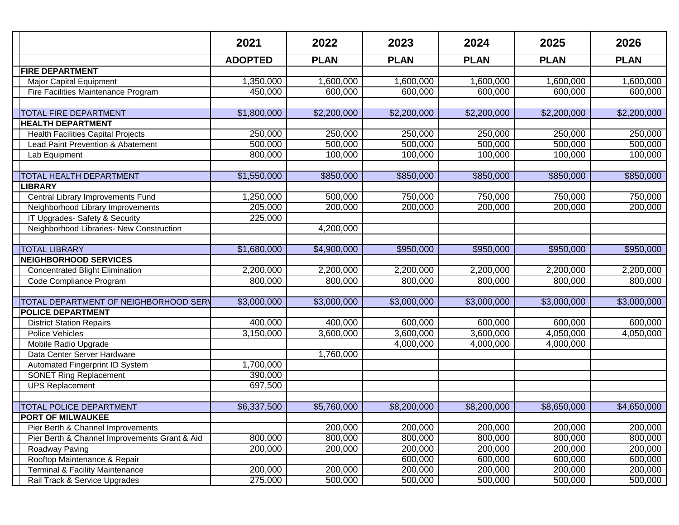|                                                                             | 2021               | 2022               | 2023               | 2024               | 2025               | 2026               |
|-----------------------------------------------------------------------------|--------------------|--------------------|--------------------|--------------------|--------------------|--------------------|
|                                                                             | <b>ADOPTED</b>     | <b>PLAN</b>        | <b>PLAN</b>        | <b>PLAN</b>        | <b>PLAN</b>        | <b>PLAN</b>        |
| <b>FIRE DEPARTMENT</b>                                                      |                    |                    |                    |                    |                    |                    |
| <b>Major Capital Equipment</b>                                              | 1,350,000          | 1,600,000          | 1,600,000          | 1,600,000          | 1,600,000          | 1,600,000          |
| Fire Facilities Maintenance Program                                         | 450,000            | 600,000            | 600,000            | 600,000            | 600,000            | 600,000            |
|                                                                             |                    |                    |                    |                    |                    |                    |
| <b>TOTAL FIRE DEPARTMENT</b>                                                | \$1,800,000        | \$2,200,000        | \$2,200,000        | \$2,200,000        | \$2,200,000        | \$2,200,000        |
| <b>HEALTH DEPARTMENT</b>                                                    |                    |                    |                    |                    |                    |                    |
| <b>Health Facilities Capital Projects</b>                                   | 250,000            | 250,000            | 250,000            | 250,000            | 250,000            | 250,000            |
| Lead Paint Prevention & Abatement                                           | 500,000            | 500,000            | 500,000            | 500,000            | 500,000            | 500,000            |
| Lab Equipment                                                               | 800,000            | 100,000            | 100,000            | 100,000            | 100,000            | 100,000            |
|                                                                             |                    |                    |                    |                    |                    |                    |
| TOTAL HEALTH DEPARTMENT                                                     | \$1,550,000        | \$850,000          | \$850,000          | \$850,000          | \$850,000          | \$850,000          |
| <b>LIBRARY</b>                                                              |                    |                    |                    |                    |                    |                    |
| Central Library Improvements Fund                                           | 1,250,000          | 500,000            | 750,000            | 750,000            | 750,000            | 750,000            |
| Neighborhood Library Improvements                                           | 205,000            | 200,000            | 200,000            | 200,000            | 200,000            | 200,000            |
| IT Upgrades-Safety & Security                                               | 225,000            |                    |                    |                    |                    |                    |
| Neighborhood Libraries- New Construction                                    |                    | 4,200,000          |                    |                    |                    |                    |
|                                                                             |                    |                    |                    |                    |                    |                    |
| <b>TOTAL LIBRARY</b>                                                        | \$1,680,000        | \$4,900,000        | \$950,000          | \$950,000          | \$950,000          | \$950,000          |
| <b>NEIGHBORHOOD SERVICES</b>                                                |                    |                    |                    |                    |                    |                    |
| <b>Concentrated Blight Elimination</b>                                      | 2,200,000          | 2,200,000          | 2,200,000          | 2,200,000          | 2,200,000          | 2,200,000          |
| Code Compliance Program                                                     | 800,000            | 800,000            | 800,000            | 800,000            | 800,000            | 800,000            |
|                                                                             |                    |                    |                    |                    |                    |                    |
| TOTAL DEPARTMENT OF NEIGHBORHOOD SERV                                       | \$3,000,000        | \$3,000,000        | \$3,000,000        | \$3,000,000        | \$3,000,000        | \$3,000,000        |
| <b>POLICE DEPARTMENT</b>                                                    |                    |                    |                    |                    |                    |                    |
| <b>District Station Repairs</b>                                             | 400,000            | 400,000            | 600,000            | 600,000            | 600,000            | 600,000            |
| Police Vehicles                                                             | 3,150,000          | 3,600,000          | 3,600,000          | 3,600,000          | 4,050,000          | 4,050,000          |
| Mobile Radio Upgrade                                                        |                    |                    | 4,000,000          | 4,000,000          | 4,000,000          |                    |
| Data Center Server Hardware                                                 |                    | 1,760,000          |                    |                    |                    |                    |
| Automated Fingerprint ID System                                             | 1,700,000          |                    |                    |                    |                    |                    |
| <b>SONET Ring Replacement</b>                                               | 390,000            |                    |                    |                    |                    |                    |
| <b>UPS Replacement</b>                                                      | 697,500            |                    |                    |                    |                    |                    |
|                                                                             |                    |                    |                    |                    |                    |                    |
| <b>TOTAL POLICE DEPARTMENT</b>                                              | \$6,337,500        | \$5,760,000        | \$8,200,000        | \$8,200,000        | \$8,650,000        | \$4,650,000        |
| <b>PORT OF MILWAUKEE</b>                                                    |                    |                    |                    |                    |                    |                    |
| Pier Berth & Channel Improvements                                           |                    | 200,000<br>800,000 | 200,000            | 200,000            | 200,000            | 200,000            |
| Pier Berth & Channel Improvements Grant & Aid                               | 800,000<br>200,000 | 200,000            | 800,000<br>200,000 | 800,000<br>200,000 | 800,000<br>200,000 | 800,000<br>200,000 |
| Roadway Paving<br>Rooftop Maintenance & Repair                              |                    |                    | 600,000            | 600,000            | 600,000            | 600,000            |
|                                                                             | 200,000            | 200,000            |                    | 200,000            | 200,000            | 200,000            |
| <b>Terminal &amp; Facility Maintenance</b><br>Rail Track & Service Upgrades | 275,000            | 500,000            | 200,000            |                    |                    | 500,000            |
|                                                                             |                    |                    | 500,000            | 500,000            | 500,000            |                    |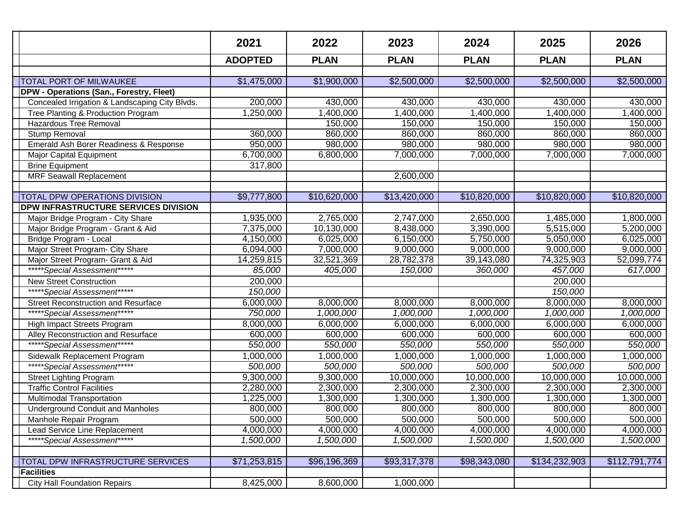|                                                | 2021           | 2022         | 2023         | 2024         | 2025          | 2026          |
|------------------------------------------------|----------------|--------------|--------------|--------------|---------------|---------------|
|                                                | <b>ADOPTED</b> | <b>PLAN</b>  | <b>PLAN</b>  | <b>PLAN</b>  | <b>PLAN</b>   | <b>PLAN</b>   |
|                                                |                |              |              |              |               |               |
| <b>TOTAL PORT OF MILWAUKEE</b>                 | \$1,475,000    | \$1,900,000  | \$2,500,000  | \$2,500,000  | \$2,500,000   | \$2,500,000   |
| DPW - Operations (San., Forestry, Fleet)       |                |              |              |              |               |               |
| Concealed Irrigation & Landscaping City Blvds. | 200,000        | 430,000      | 430,000      | 430,000      | 430,000       | 430,000       |
| Tree Planting & Production Program             | 1,250,000      | 1,400,000    | 1,400,000    | 1,400,000    | 1,400,000     | 1,400,000     |
| Hazardous Tree Removal                         |                | 150,000      | 150,000      | 150,000      | 150,000       | 150,000       |
| Stump Removal                                  | 360,000        | 860,000      | 860,000      | 860,000      | 860,000       | 860,000       |
| Emerald Ash Borer Readiness & Response         | 950,000        | 980,000      | 980,000      | 980,000      | 980,000       | 980,000       |
| Major Capital Equipment                        | 6,700,000      | 6,800,000    | 7,000,000    | 7,000,000    | 7,000,000     | 7,000,000     |
| <b>Brine Equipment</b>                         | 317,800        |              |              |              |               |               |
| <b>MRF Seawall Replacement</b>                 |                |              | 2,600,000    |              |               |               |
|                                                |                |              |              |              |               |               |
| TOTAL DPW OPERATIONS DIVISION                  | \$9,777,800    | \$10,620,000 | \$13,420,000 | \$10,820,000 | \$10,820,000  | \$10,820,000  |
| DPW INFRASTRUCTURE SERVICES DIVISION           |                |              |              |              |               |               |
| Major Bridge Program - City Share              | 1,935,000      | 2,765,000    | 2,747,000    | 2,650,000    | 1,485,000     | 1,800,000     |
| Major Bridge Program - Grant & Aid             | 7,375,000      | 10,130,000   | 8,438,000    | 3,390,000    | 5,515,000     | 5,200,000     |
| Bridge Program - Local                         | 4,150,000      | 6,025,000    | 6,150,000    | 5,750,000    | 5,050,000     | 6,025,000     |
| Major Street Program- City Share               | 6,094,000      | 7,000,000    | 9,000,000    | 9,000,000    | 9,000,000     | 9,000,000     |
| Major Street Program- Grant & Aid              | 14,259,815     | 32,521,369   | 28,782,378   | 39,143,080   | 74,325,903    | 52,099,774    |
| *****Special Assessment*****                   | 85,000         | 405,000      | 150,000      | 360,000      | 457,000       | 617,000       |
| <b>New Street Construction</b>                 | 200,000        |              |              |              | 200,000       |               |
| *****Special Assessment******                  | 150,000        |              |              |              | 150,000       |               |
| <b>Street Reconstruction and Resurface</b>     | 6,000,000      | 8,000,000    | 8,000,000    | 8,000,000    | 8,000,000     | 8,000,000     |
| *****Special Assessment*****                   | 750,000        | 1,000,000    | 1,000,000    | 1,000,000    | 1,000,000     | 1,000,000     |
| High Impact Streets Program                    | 8,000,000      | 6,000,000    | 6,000,000    | 6,000,000    | 6,000,000     | 6,000,000     |
| Alley Reconstruction and Resurface             | 600,000        | 600,000      | 600,000      | 600,000      | 600,000       | 600,000       |
| *****Special Assessment*****                   | 550,000        | 550,000      | 550,000      | 550,000      | 550,000       | 550,000       |
| Sidewalk Replacement Program                   | 1,000,000      | 1,000,000    | 1,000,000    | 1,000,000    | 1,000,000     | 1,000,000     |
| *****Special Assessment*****                   | 500,000        | 500,000      | 500,000      | 500,000      | 500,000       | 500,000       |
| <b>Street Lighting Program</b>                 | 9,300,000      | 9,300,000    | 10,000,000   | 10,000,000   | 10,000,000    | 10,000,000    |
| <b>Traffic Control Facilities</b>              | 2,280,000      | 2,300,000    | 2,300,000    | 2,300,000    | 2,300,000     | 2,300,000     |
| Multimodal Transportation                      | 1,225,000      | 1,300,000    | 1,300,000    | 1,300,000    | 1,300,000     | 1,300,000     |
| <b>Underground Conduit and Manholes</b>        | 800,000        | 800,000      | 800,000      | 800,000      | 800,000       | 800,000       |
| Manhole Repair Program                         | 500,000        | 500,000      | 500,000      | 500,000      | 500,000       | 500,000       |
| Lead Service Line Replacement                  | 4,000,000      | 4,000,000    | 4,000,000    | 4,000,000    | 4,000,000     | 4,000,000     |
| *****Special Assessment*****                   | 1,500,000      | 1,500,000    | 1,500,000    | 1,500,000    | 1,500,000     | 1,500,000     |
|                                                |                |              |              |              |               |               |
| TOTAL DPW INFRASTRUCTURE SERVICES              | \$71,253,815   | \$96,196,369 | \$93,317,378 | \$98,343,080 | \$134,232,903 | \$112,791,774 |
| <b>Facilities</b>                              |                |              |              |              |               |               |
| <b>City Hall Foundation Repairs</b>            | 8,425,000      | 8,600,000    | 1,000,000    |              |               |               |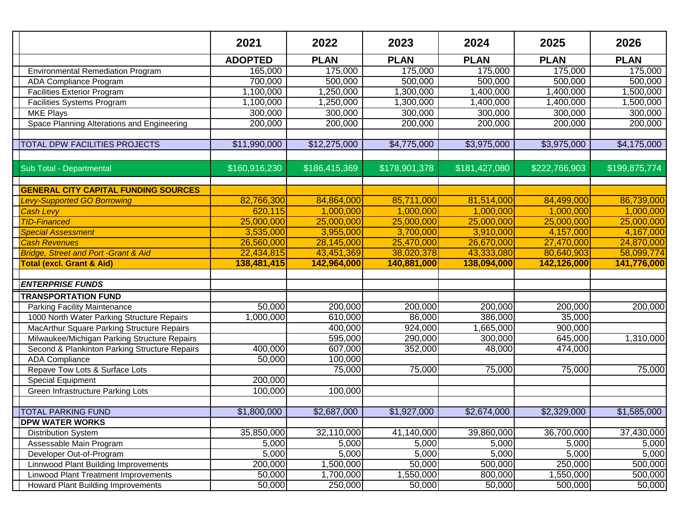|                                                                                          | 2021           | 2022          | 2023              | 2024               | 2025              | 2026          |
|------------------------------------------------------------------------------------------|----------------|---------------|-------------------|--------------------|-------------------|---------------|
|                                                                                          | <b>ADOPTED</b> | <b>PLAN</b>   | <b>PLAN</b>       | <b>PLAN</b>        | <b>PLAN</b>       | <b>PLAN</b>   |
| <b>Environmental Remediation Program</b>                                                 | 165,000        | 175,000       | 175,000           | 175,000            | 175,000           | 175,000       |
| ADA Compliance Program                                                                   | 700,000        | 500,000       | 500,000           | 500,000            | 500,000           | 500,000       |
| <b>Facilities Exterior Program</b>                                                       | 1,100,000      | 1,250,000     | 1,300,000         | 1,400,000          | 1,400,000         | 1,500,000     |
| Facilities Systems Program                                                               | 1,100,000      | 1,250,000     | 1,300,000         | 1,400,000          | 1,400,000         | 1,500,000     |
| <b>MKE Plays</b>                                                                         | 300,000        | 300,000       | 300,000           | 300,000            | 300,000           | 300,000       |
| Space Planning Alterations and Engineering                                               | 200,000        | 200,000       | 200,000           | 200,000            | 200,000           | 200,000       |
|                                                                                          |                |               |                   |                    |                   |               |
| TOTAL DPW FACILITIES PROJECTS                                                            | \$11,990,000   | \$12,275,000  | \$4,775,000       | \$3,975,000        | \$3,975,000       | \$4,175,000   |
|                                                                                          |                |               |                   |                    |                   |               |
| Sub Total - Departmental                                                                 | \$160,916,230  | \$186,415,369 | \$178,901,378     | \$181,427,080      | \$222,766,903     | \$199,875,774 |
|                                                                                          |                |               |                   |                    |                   |               |
| <b>GENERAL CITY CAPITAL FUNDING SOURCES</b>                                              |                |               |                   |                    |                   |               |
| <b>Levy-Supported GO Borrowing</b>                                                       | 82,766,300     | 84,864,000    | 85,711,000        | 81,514,000         | 84,499,000        | 86,739,000    |
| <b>Cash Levy</b>                                                                         | 620,115        | 1,000,000     | 1,000,000         | 1,000,000          | 1,000,000         | 1,000,000     |
| <b>TID-Financed</b>                                                                      | 25,000,000     | 25,000,000    | 25,000,000        | 25,000,000         | 25,000,000        | 25,000,000    |
| <b>Special Assessment</b>                                                                | 3,535,000      | 3,955,000     | 3,700,000         | 3,910,000          | 4,157,000         | 4,167,000     |
| <b>Cash Revenues</b>                                                                     | 26,560,000     | 28,145,000    | 25,470,000        | 26,670,000         | 27,470,000        | 24,870,000    |
| <b>Bridge, Street and Port -Grant &amp; Aid</b>                                          | 22,434,815     | 43,451,369    | 38,020,378        | 43,333,080         | 80,640,903        | 58,099,774    |
| <b>Total (excl. Grant &amp; Aid)</b>                                                     | 138,481,415    | 142,964,000   | 140,881,000       | 138,094,000        | 142,126,000       | 141,776,000   |
| <b>ENTERPRISE FUNDS</b>                                                                  |                |               |                   |                    |                   |               |
| <b>TRANSPORTATION FUND</b>                                                               |                |               |                   |                    |                   |               |
|                                                                                          | 50,000         | 200,000       |                   |                    |                   |               |
| <b>Parking Facility Maintenance</b>                                                      |                | 610,000       | 200,000<br>86,000 | 200,000<br>386,000 | 200,000<br>35,000 | 200,000       |
| 1000 North Water Parking Structure Repairs<br>MacArthur Square Parking Structure Repairs | 1,000,000      | 400,000       | 924,000           | 1,665,000          | 900,000           |               |
| Milwaukee/Michigan Parking Structure Repairs                                             |                | 595,000       | 290,000           | 300,000            | 645,000           | 1,310,000     |
| Second & Plankinton Parking Structure Repairs                                            | 400,000        | 607,000       | 352,000           | 48,000             | 474,000           |               |
| <b>ADA</b> Compliance                                                                    | 50,000         | 100,000       |                   |                    |                   |               |
| Repave Tow Lots & Surface Lots                                                           |                | 75,000        | 75,000            | 75,000             | 75,000            | 75,000        |
| Special Equipment                                                                        | 200,000        |               |                   |                    |                   |               |
| Green Infrastructure Parking Lots                                                        | 100,000        | 100,000       |                   |                    |                   |               |
|                                                                                          |                |               |                   |                    |                   |               |
| <b>TOTAL PARKING FUND</b>                                                                | \$1,800,000    | \$2,687,000   | \$1,927,000       | \$2,674,000        | \$2,329,000       | \$1,585,000   |
| <b>DPW WATER WORKS</b>                                                                   |                |               |                   |                    |                   |               |
| <b>Distribution System</b>                                                               | 35,850,000     | 32,110,000    | 41,140,000        | 39,860,000         | 36,700,000        | 37,430,000    |
| Assessable Main Program                                                                  | 5,000          | 5,000         | 5,000             | 5,000              | 5,000             | 5,000         |
| Developer Out-of-Program                                                                 | 5,000          | 5,000         | 5,000             | 5,000              | 5,000             | 5,000         |
| <b>Linnwood Plant Building Improvements</b>                                              | 200,000        | 1,500,000     | 50,000            | 500,000            | 250,000           | 500,000       |
| <b>Linwood Plant Treatment Improvements</b>                                              | 50,000         | 1,700,000     | 1,550,000         | 800,000            | 1,550,000         | 500,000       |
| Howard Plant Building Improvements                                                       | 50,000         | 250,000       | 50,000            | 50,000             | 500,000           | 50,000        |